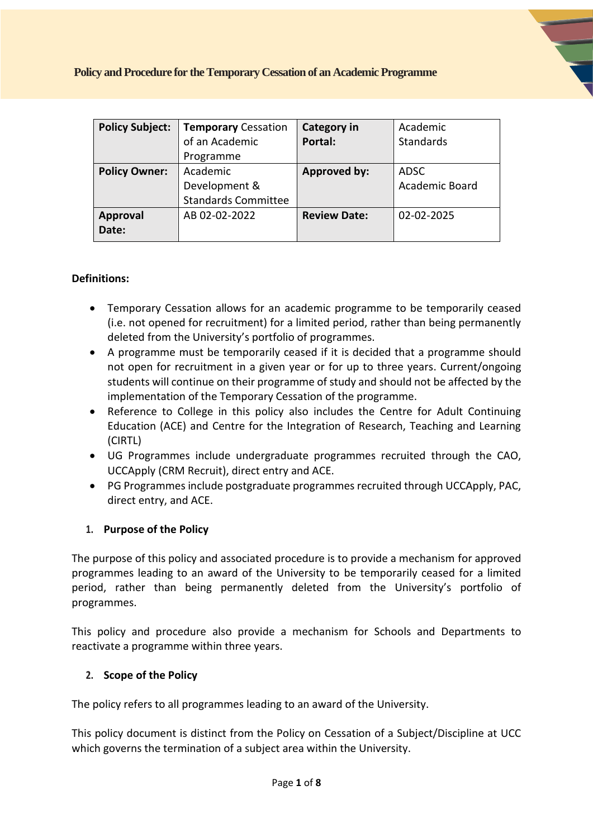| <b>Policy Subject:</b> | <b>Temporary Cessation</b> | <b>Category in</b>  | Academic       |
|------------------------|----------------------------|---------------------|----------------|
|                        | of an Academic             | Portal:             | Standards      |
|                        | Programme                  |                     |                |
| <b>Policy Owner:</b>   | Academic                   | <b>Approved by:</b> | <b>ADSC</b>    |
|                        | Development &              |                     | Academic Board |
|                        | <b>Standards Committee</b> |                     |                |
| <b>Approval</b>        | AB 02-02-2022              | <b>Review Date:</b> | 02-02-2025     |
| Date:                  |                            |                     |                |

#### **Definitions:**

- Temporary Cessation allows for an academic programme to be temporarily ceased (i.e. not opened for recruitment) for a limited period, rather than being permanently deleted from the University's portfolio of programmes.
- A programme must be temporarily ceased if it is decided that a programme should not open for recruitment in a given year or for up to three years. Current/ongoing students will continue on their programme of study and should not be affected by the implementation of the Temporary Cessation of the programme.
- Reference to College in this policy also includes the Centre for Adult Continuing Education (ACE) and Centre for the Integration of Research, Teaching and Learning (CIRTL)
- UG Programmes include undergraduate programmes recruited through the CAO, UCCApply (CRM Recruit), direct entry and ACE.
- PG Programmes include postgraduate programmes recruited through UCCApply, PAC, direct entry, and ACE.

## **1. Purpose of the Policy**

The purpose of this policy and associated procedure is to provide a mechanism for approved programmes leading to an award of the University to be temporarily ceased for a limited period, rather than being permanently deleted from the University's portfolio of programmes.

This policy and procedure also provide a mechanism for Schools and Departments to reactivate a programme within three years.

#### **2. Scope of the Policy**

The policy refers to all programmes leading to an award of the University.

This policy document is distinct from the Policy on Cessation of a Subject/Discipline at UCC which governs the termination of a subject area within the University.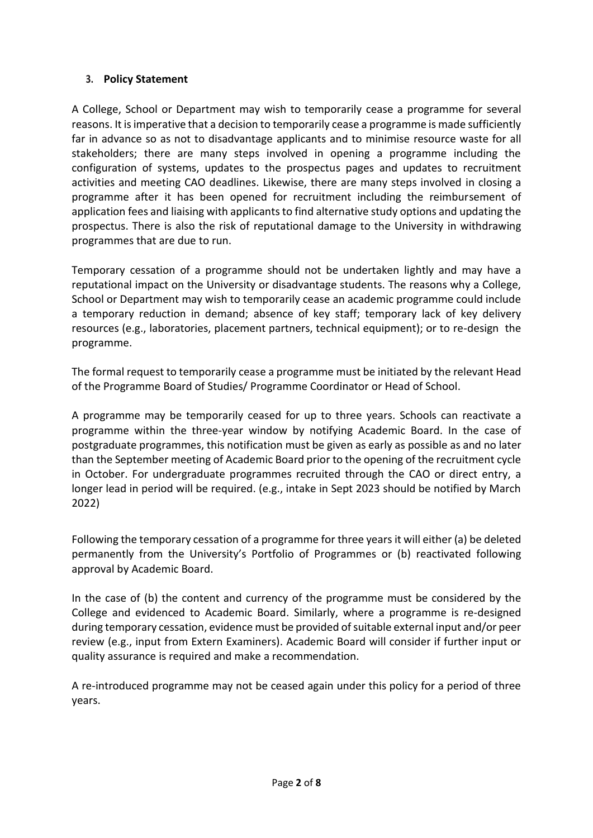## **3. Policy Statement**

A College, School or Department may wish to temporarily cease a programme for several reasons. It is imperative that a decision to temporarily cease a programme is made sufficiently far in advance so as not to disadvantage applicants and to minimise resource waste for all stakeholders; there are many steps involved in opening a programme including the configuration of systems, updates to the prospectus pages and updates to recruitment activities and meeting CAO deadlines. Likewise, there are many steps involved in closing a programme after it has been opened for recruitment including the reimbursement of application fees and liaising with applicants to find alternative study options and updating the prospectus. There is also the risk of reputational damage to the University in withdrawing programmes that are due to run.

Temporary cessation of a programme should not be undertaken lightly and may have a reputational impact on the University or disadvantage students. The reasons why a College, School or Department may wish to temporarily cease an academic programme could include a temporary reduction in demand; absence of key staff; temporary lack of key delivery resources (e.g., laboratories, placement partners, technical equipment); or to re-design the programme.

The formal request to temporarily cease a programme must be initiated by the relevant Head of the Programme Board of Studies/ Programme Coordinator or Head of School.

A programme may be temporarily ceased for up to three years. Schools can reactivate a programme within the three-year window by notifying Academic Board. In the case of postgraduate programmes, this notification must be given as early as possible as and no later than the September meeting of Academic Board prior to the opening of the recruitment cycle in October. For undergraduate programmes recruited through the CAO or direct entry, a longer lead in period will be required. (e.g., intake in Sept 2023 should be notified by March 2022)

Following the temporary cessation of a programme for three years it will either (a) be deleted permanently from the University's Portfolio of Programmes or (b) reactivated following approval by Academic Board.

In the case of (b) the content and currency of the programme must be considered by the College and evidenced to Academic Board. Similarly, where a programme is re-designed during temporary cessation, evidence must be provided of suitable external input and/or peer review (e.g., input from Extern Examiners). Academic Board will consider if further input or quality assurance is required and make a recommendation.

A re-introduced programme may not be ceased again under this policy for a period of three years.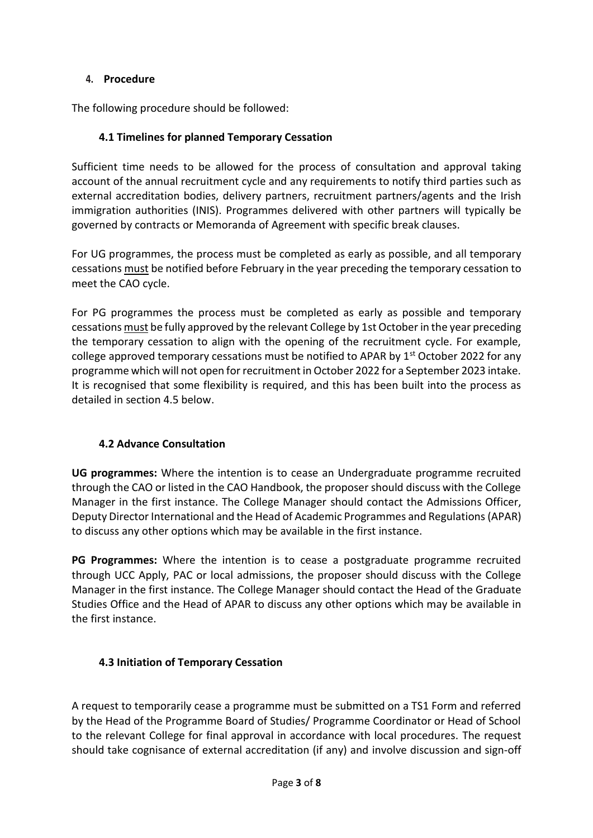## **4. Procedure**

The following procedure should be followed:

## **4.1 Timelines for planned Temporary Cessation**

Sufficient time needs to be allowed for the process of consultation and approval taking account of the annual recruitment cycle and any requirements to notify third parties such as external accreditation bodies, delivery partners, recruitment partners/agents and the Irish immigration authorities (INIS). Programmes delivered with other partners will typically be governed by contracts or Memoranda of Agreement with specific break clauses.

For UG programmes, the process must be completed as early as possible, and all temporary cessations must be notified before February in the year preceding the temporary cessation to meet the CAO cycle.

For PG programmes the process must be completed as early as possible and temporary cessations must be fully approved by the relevant College by 1st October in the year preceding the temporary cessation to align with the opening of the recruitment cycle. For example, college approved temporary cessations must be notified to APAR by  $1<sup>st</sup>$  October 2022 for any programme which will not open for recruitment in October 2022 for a September 2023 intake. It is recognised that some flexibility is required, and this has been built into the process as detailed in section 4.5 below.

# **4.2 Advance Consultation**

**UG programmes:** Where the intention is to cease an Undergraduate programme recruited through the CAO or listed in the CAO Handbook, the proposer should discuss with the College Manager in the first instance. The College Manager should contact the Admissions Officer, Deputy Director International and the Head of Academic Programmes and Regulations(APAR) to discuss any other options which may be available in the first instance.

**PG Programmes:** Where the intention is to cease a postgraduate programme recruited through UCC Apply, PAC or local admissions, the proposer should discuss with the College Manager in the first instance. The College Manager should contact the Head of the Graduate Studies Office and the Head of APAR to discuss any other options which may be available in the first instance.

## **4.3 Initiation of Temporary Cessation**

A request to temporarily cease a programme must be submitted on a TS1 Form and referred by the Head of the Programme Board of Studies/ Programme Coordinator or Head of School to the relevant College for final approval in accordance with local procedures. The request should take cognisance of external accreditation (if any) and involve discussion and sign-off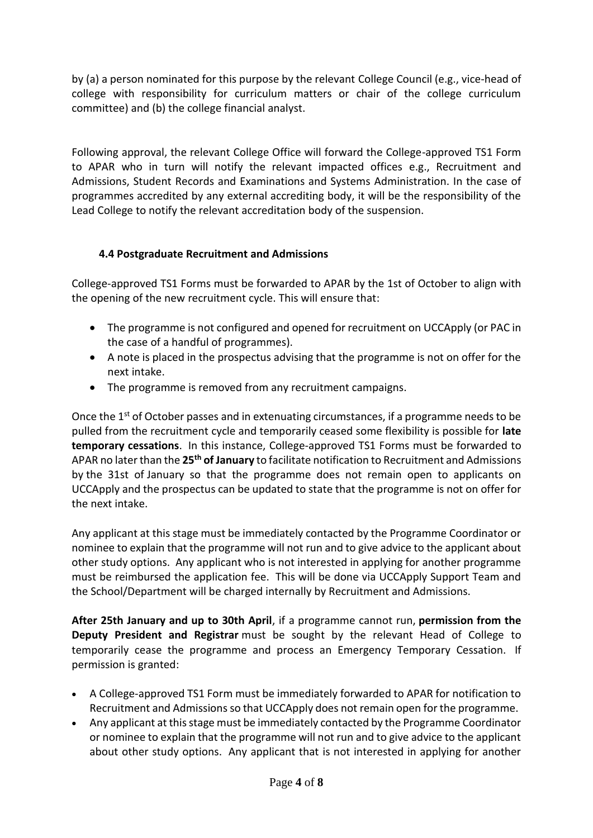by (a) a person nominated for this purpose by the relevant College Council (e.g., vice-head of college with responsibility for curriculum matters or chair of the college curriculum committee) and (b) the college financial analyst.

Following approval, the relevant College Office will forward the College-approved TS1 Form to APAR who in turn will notify the relevant impacted offices e.g., Recruitment and Admissions, Student Records and Examinations and Systems Administration. In the case of programmes accredited by any external accrediting body, it will be the responsibility of the Lead College to notify the relevant accreditation body of the suspension.

# **4.4 Postgraduate Recruitment and Admissions**

College-approved TS1 Forms must be forwarded to APAR by the 1st of October to align with the opening of the new recruitment cycle. This will ensure that:

- The programme is not configured and opened for recruitment on UCCApply (or PAC in the case of a handful of programmes).
- A note is placed in the prospectus advising that the programme is not on offer for the next intake.
- The programme is removed from any recruitment campaigns.

Once the  $1<sup>st</sup>$  of October passes and in extenuating circumstances, if a programme needs to be pulled from the recruitment cycle and temporarily ceased some flexibility is possible for **late temporary cessations**. In this instance, College-approved TS1 Forms must be forwarded to APAR no later than the **25th of January** to facilitate notification to Recruitment and Admissions by the 31st of January so that the programme does not remain open to applicants on UCCApply and the prospectus can be updated to state that the programme is not on offer for the next intake.

Any applicant at this stage must be immediately contacted by the Programme Coordinator or nominee to explain that the programme will not run and to give advice to the applicant about other study options. Any applicant who is not interested in applying for another programme must be reimbursed the application fee. This will be done via UCCApply Support Team and the School/Department will be charged internally by Recruitment and Admissions.

**After 25th January and up to 30th April**, if a programme cannot run, **permission from the Deputy President and Registrar** must be sought by the relevant Head of College to temporarily cease the programme and process an Emergency Temporary Cessation. If permission is granted:

- A College-approved TS1 Form must be immediately forwarded to APAR for notification to Recruitment and Admissions so that UCCApply does not remain open for the programme.
- Any applicant at this stage must be immediately contacted by the Programme Coordinator or nominee to explain that the programme will not run and to give advice to the applicant about other study options. Any applicant that is not interested in applying for another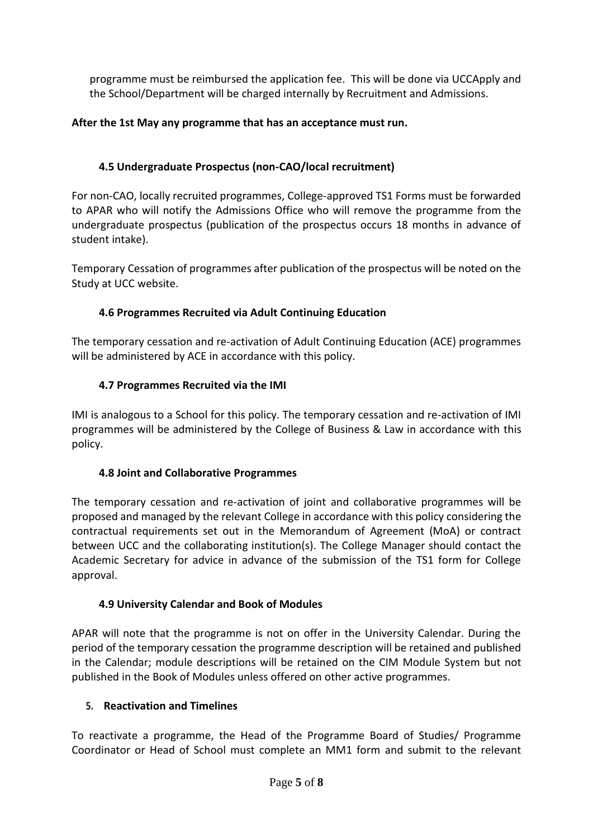programme must be reimbursed the application fee. This will be done via UCCApply and the School/Department will be charged internally by Recruitment and Admissions.

## **After the 1st May any programme that has an acceptance must run.**

## **4.5 Undergraduate Prospectus (non-CAO/local recruitment)**

For non-CAO, locally recruited programmes, College-approved TS1 Forms must be forwarded to APAR who will notify the Admissions Office who will remove the programme from the undergraduate prospectus (publication of the prospectus occurs 18 months in advance of student intake).

Temporary Cessation of programmes after publication of the prospectus will be noted on the Study at UCC website.

## **4.6 Programmes Recruited via Adult Continuing Education**

The temporary cessation and re-activation of Adult Continuing Education (ACE) programmes will be administered by ACE in accordance with this policy.

## **4.7 Programmes Recruited via the IMI**

IMI is analogous to a School for this policy. The temporary cessation and re-activation of IMI programmes will be administered by the College of Business & Law in accordance with this policy.

## **4.8 Joint and Collaborative Programmes**

The temporary cessation and re-activation of joint and collaborative programmes will be proposed and managed by the relevant College in accordance with this policy considering the contractual requirements set out in the Memorandum of Agreement (MoA) or contract between UCC and the collaborating institution(s). The College Manager should contact the Academic Secretary for advice in advance of the submission of the TS1 form for College approval.

## **4.9 University Calendar and Book of Modules**

APAR will note that the programme is not on offer in the University Calendar. During the period of the temporary cessation the programme description will be retained and published in the Calendar; module descriptions will be retained on the CIM Module System but not published in the Book of Modules unless offered on other active programmes.

## **5. Reactivation and Timelines**

To reactivate a programme, the Head of the Programme Board of Studies/ Programme Coordinator or Head of School must complete an MM1 form and submit to the relevant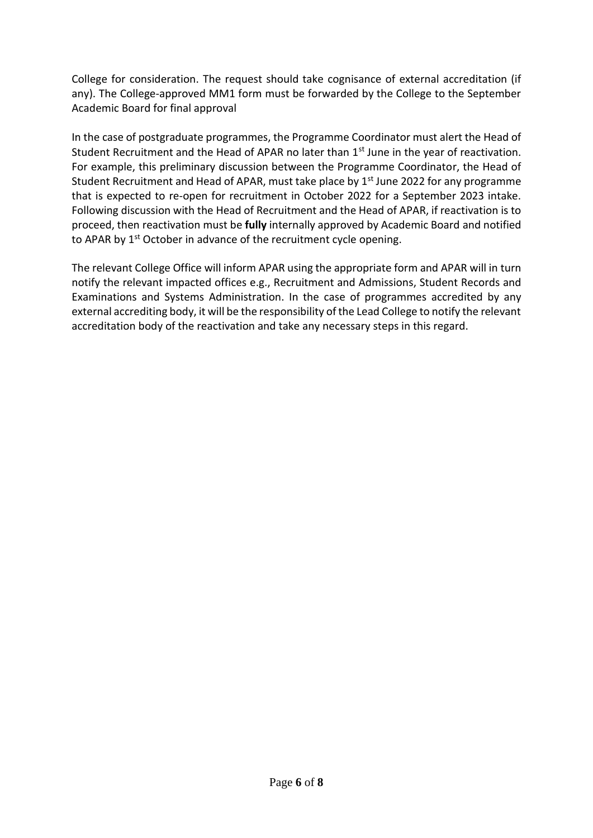College for consideration. The request should take cognisance of external accreditation (if any). The College-approved MM1 form must be forwarded by the College to the September Academic Board for final approval

In the case of postgraduate programmes, the Programme Coordinator must alert the Head of Student Recruitment and the Head of APAR no later than 1<sup>st</sup> June in the year of reactivation. For example, this preliminary discussion between the Programme Coordinator, the Head of Student Recruitment and Head of APAR, must take place by  $1<sup>st</sup>$  June 2022 for any programme that is expected to re-open for recruitment in October 2022 for a September 2023 intake. Following discussion with the Head of Recruitment and the Head of APAR, if reactivation is to proceed, then reactivation must be **fully** internally approved by Academic Board and notified to APAR by  $1<sup>st</sup>$  October in advance of the recruitment cycle opening.

The relevant College Office will inform APAR using the appropriate form and APAR will in turn notify the relevant impacted offices e.g., Recruitment and Admissions, Student Records and Examinations and Systems Administration. In the case of programmes accredited by any external accrediting body, it will be the responsibility of the Lead College to notify the relevant accreditation body of the reactivation and take any necessary steps in this regard.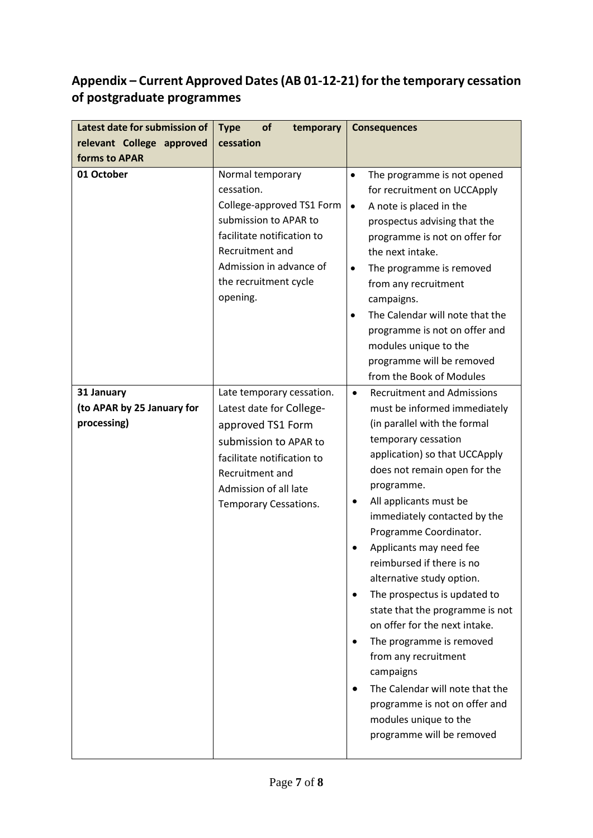# **Appendix – Current Approved Dates (AB 01-12-21) for the temporary cessation of postgraduate programmes**

| Latest date for submission of                           | <b>Type</b><br>of<br>temporary<br><b>Consequences</b>                                                                                                                                                  |                                                                                                                                                                                                                                                                                                                                                                                                                                                                                                                                                                                                                                                                                                                                                       |
|---------------------------------------------------------|--------------------------------------------------------------------------------------------------------------------------------------------------------------------------------------------------------|-------------------------------------------------------------------------------------------------------------------------------------------------------------------------------------------------------------------------------------------------------------------------------------------------------------------------------------------------------------------------------------------------------------------------------------------------------------------------------------------------------------------------------------------------------------------------------------------------------------------------------------------------------------------------------------------------------------------------------------------------------|
| relevant College approved                               | cessation                                                                                                                                                                                              |                                                                                                                                                                                                                                                                                                                                                                                                                                                                                                                                                                                                                                                                                                                                                       |
| forms to APAR                                           |                                                                                                                                                                                                        |                                                                                                                                                                                                                                                                                                                                                                                                                                                                                                                                                                                                                                                                                                                                                       |
| 01 October                                              | Normal temporary<br>cessation.<br>College-approved TS1 Form<br>submission to APAR to<br>facilitate notification to<br>Recruitment and<br>Admission in advance of<br>the recruitment cycle<br>opening.  | The programme is not opened<br>$\bullet$<br>for recruitment on UCCApply<br>A note is placed in the<br>$\bullet$<br>prospectus advising that the<br>programme is not on offer for<br>the next intake.<br>The programme is removed<br>$\bullet$<br>from any recruitment<br>campaigns.<br>The Calendar will note that the<br>$\bullet$<br>programme is not on offer and<br>modules unique to the<br>programme will be removed<br>from the Book of Modules                                                                                                                                                                                                                                                                                                |
| 31 January<br>(to APAR by 25 January for<br>processing) | Late temporary cessation.<br>Latest date for College-<br>approved TS1 Form<br>submission to APAR to<br>facilitate notification to<br>Recruitment and<br>Admission of all late<br>Temporary Cessations. | <b>Recruitment and Admissions</b><br>$\bullet$<br>must be informed immediately<br>(in parallel with the formal<br>temporary cessation<br>application) so that UCCApply<br>does not remain open for the<br>programme.<br>All applicants must be<br>٠<br>immediately contacted by the<br>Programme Coordinator.<br>Applicants may need fee<br>$\bullet$<br>reimbursed if there is no<br>alternative study option.<br>The prospectus is updated to<br>$\bullet$<br>state that the programme is not<br>on offer for the next intake.<br>The programme is removed<br>$\bullet$<br>from any recruitment<br>campaigns<br>The Calendar will note that the<br>$\bullet$<br>programme is not on offer and<br>modules unique to the<br>programme will be removed |